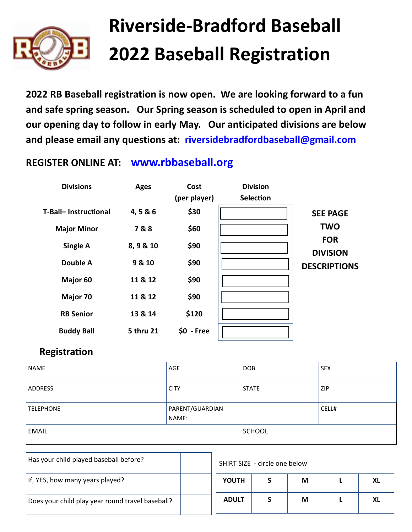

## **Riverside-Bradford Baseball 2022 Baseball Registration**

**2022 RB Baseball registration is now open. We are looking forward to a fun and safe spring season. Our Spring season is scheduled to open in April and our opening day to follow in early May. Our anticipated divisions are below and please email any questions at: riversidebradfordbaseball@gmail.com**

## **REGISTER ONLINE AT: www.rbbaseball.org**



## **Registration**

| NAME             | AGE                      | <b>DOB</b>   | <b>SEX</b> |  |
|------------------|--------------------------|--------------|------------|--|
| <b>ADDRESS</b>   | <b>CITY</b>              | <b>STATE</b> | ZIP        |  |
| <b>TELEPHONE</b> | PARENT/GUARDIAN<br>NAME: |              | CELL#      |  |
| <b>EMAIL</b>     |                          | SCHOOL       |            |  |

| Has your child played baseball before?           |  | SHIRT SIZE - circle one below |  |   |  |  |
|--------------------------------------------------|--|-------------------------------|--|---|--|--|
| If, YES, how many years played?                  |  | <b>YOUTH</b>                  |  | M |  |  |
| Does your child play year round travel baseball? |  | <b>ADULT</b>                  |  | M |  |  |